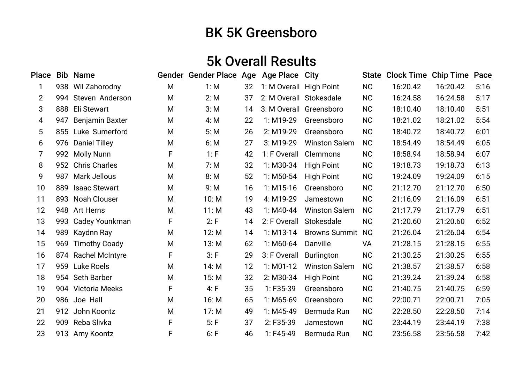## BK 5K Greensboro

## 5k Overall Results

| <b>Place</b>   | <u>Bib</u> | <b>Name</b>            |   | Gender Gender Place Age |    | <b>Age Place</b>        | <u>City</u>             | <b>State</b> | <b>Clock Time</b> | <b>Chip Time</b> | Pace |
|----------------|------------|------------------------|---|-------------------------|----|-------------------------|-------------------------|--------------|-------------------|------------------|------|
| 1              | 938        | Wil Zahorodny          | M | 1: M                    | 32 | 1: M Overall High Point |                         | <b>NC</b>    | 16:20.42          | 16:20.42         | 5:16 |
| $\overline{2}$ |            | 994 Steven Anderson    | M | 2: M                    | 37 | 2: M Overall Stokesdale |                         | <b>NC</b>    | 16:24.58          | 16:24.58         | 5:17 |
| 3              | 888        | Eli Stewart            | M | 3: M                    | 14 |                         | 3: M Overall Greensboro | <b>NC</b>    | 18:10.40          | 18:10.40         | 5:51 |
| 4              | 947        | <b>Benjamin Baxter</b> | M | 4: M                    | 22 | 1: M19-29               | Greensboro              | <b>NC</b>    | 18:21.02          | 18:21.02         | 5:54 |
| 5              |            | 855 Luke Sumerford     | M | 5: M                    | 26 | 2: M19-29               | Greensboro              | <b>NC</b>    | 18:40.72          | 18:40.72         | 6:01 |
| 6              | 976        | <b>Daniel Tilley</b>   | M | 6: M                    | 27 | 3: M19-29               | <b>Winston Salem</b>    | <b>NC</b>    | 18:54.49          | 18:54.49         | 6:05 |
| 7              |            | 992 Molly Nunn         | F | 1: F                    | 42 | 1: F Overall            | Clemmons                | <b>NC</b>    | 18:58.94          | 18:58.94         | 6:07 |
| 8              |            | 952 Chris Charles      | M | 7: M                    | 32 | 1: M30-34               | <b>High Point</b>       | <b>NC</b>    | 19:18.73          | 19:18.73         | 6:13 |
| 9              | 987        | <b>Mark Jellous</b>    | M | 8: M                    | 52 | $1: M50-54$             | <b>High Point</b>       | <b>NC</b>    | 19:24.09          | 19:24.09         | 6:15 |
| 10             | 889        | <b>Isaac Stewart</b>   | M | 9: M                    | 16 | $1: M15-16$             | Greensboro              | <b>NC</b>    | 21:12.70          | 21:12.70         | 6:50 |
| 11             | 893        | <b>Noah Clouser</b>    | M | 10: M                   | 19 | 4: M19-29               | Jamestown               | <b>NC</b>    | 21:16.09          | 21:16.09         | 6:51 |
| 12             |            | 948 Art Herns          | M | 11: M                   | 43 | $1: M40-44$             | <b>Winston Salem</b>    | <b>NC</b>    | 21:17.79          | 21:17.79         | 6:51 |
| 13             | 993        | Cadey Younkman         | F | 2: F                    | 14 | 2: F Overall            | Stokesdale              | <b>NC</b>    | 21:20.60          | 21:20.60         | 6:52 |
| 14             | 989        | Kaydnn Ray             | M | 12: M                   | 14 | $1: M13-14$             | <b>Browns Summit</b>    | <b>NC</b>    | 21:26.04          | 21:26.04         | 6:54 |
| 15             | 969        | <b>Timothy Coady</b>   | M | 13: M                   | 62 | $1: M60-64$             | Danville                | VA           | 21:28.15          | 21:28.15         | 6:55 |
| 16             | 874        | <b>Rachel McIntyre</b> | F | 3: F                    | 29 | 3: F Overall            | <b>Burlington</b>       | <b>NC</b>    | 21:30.25          | 21:30.25         | 6:55 |
| 17             | 959        | Luke Roels             | M | 14: M                   | 12 | $1: MO1-12$             | <b>Winston Salem</b>    | <b>NC</b>    | 21:38.57          | 21:38.57         | 6:58 |
| 18             |            | 954 Seth Barber        | M | 15: M                   | 32 | 2: M30-34               | <b>High Point</b>       | <b>NC</b>    | 21:39.24          | 21:39.24         | 6:58 |
| 19             |            | 904 Victoria Meeks     | F | 4: F                    | 35 | $1: F35-39$             | Greensboro              | <b>NC</b>    | 21:40.75          | 21:40.75         | 6:59 |
| 20             |            | 986 Joe Hall           | M | 16: M                   | 65 | 1: M65-69               | Greensboro              | <b>NC</b>    | 22:00.71          | 22:00.71         | 7:05 |
| 21             |            | 912 John Koontz        | M | 17: M                   | 49 | 1: M45-49               | Bermuda Run             | <b>NC</b>    | 22:28.50          | 22:28.50         | 7:14 |
| 22             | 909        | Reba Slivka            | F | 5: F                    | 37 | 2: F35-39               | Jamestown               | <b>NC</b>    | 23:44.19          | 23:44.19         | 7:38 |
| 23             | 913        | Amy Koontz             | F | 6: F                    | 46 | $1:$ F45-49             | Bermuda Run             | <b>NC</b>    | 23:56.58          | 23:56.58         | 7:42 |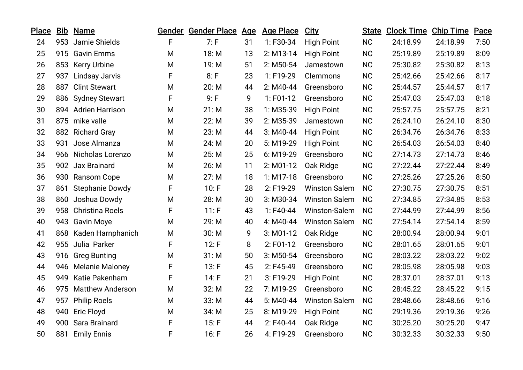| <b>Place</b> |     | <b>Bib Name</b>        |   | Gender Gender Place | <u>Age</u> | <b>Age Place</b> | <b>City</b>          |           | <b>State Clock Time Chip Time</b> |          | Pace |
|--------------|-----|------------------------|---|---------------------|------------|------------------|----------------------|-----------|-----------------------------------|----------|------|
| 24           |     | 953 Jamie Shields      | F | 7: F                | 31         | 1:F30-34         | <b>High Point</b>    | <b>NC</b> | 24:18.99                          | 24:18.99 | 7:50 |
| 25           |     | 915 Gavin Emms         | M | 18: M               | 13         | $2: M13-14$      | <b>High Point</b>    | <b>NC</b> | 25:19.89                          | 25:19.89 | 8:09 |
| 26           |     | 853 Kerry Urbine       | M | 19: M               | 51         | $2: M50-54$      | Jamestown            | <b>NC</b> | 25:30.82                          | 25:30.82 | 8:13 |
| 27           | 937 | <b>Lindsay Jarvis</b>  | F | 8: F                | 23         | 1: F19-29        | Clemmons             | <b>NC</b> | 25:42.66                          | 25:42.66 | 8:17 |
| 28           | 887 | <b>Clint Stewart</b>   | M | 20: M               | 44         | $2: M40-44$      | Greensboro           | <b>NC</b> | 25:44.57                          | 25:44.57 | 8:17 |
| 29           |     | 886 Sydney Stewart     | F | 9: F                | 9          | $1:$ F01-12      | Greensboro           | <b>NC</b> | 25:47.03                          | 25:47.03 | 8:18 |
| 30           |     | 894 Adrien Harrison    | M | 21: M               | 38         | 1: M35-39        | <b>High Point</b>    | <b>NC</b> | 25:57.75                          | 25:57.75 | 8:21 |
| 31           |     | 875 mike valle         | M | 22: M               | 39         | 2: M35-39        | Jamestown            | <b>NC</b> | 26:24.10                          | 26:24.10 | 8:30 |
| 32           |     | 882 Richard Gray       | M | 23: M               | 44         | $3: M40-44$      | <b>High Point</b>    | <b>NC</b> | 26:34.76                          | 26:34.76 | 8:33 |
| 33           | 931 | Jose Almanza           | M | 24: M               | 20         | 5: M19-29        | <b>High Point</b>    | <b>NC</b> | 26:54.03                          | 26:54.03 | 8:40 |
| 34           |     | 966 Nicholas Lorenzo   | M | 25: M               | 25         | 6: M19-29        | Greensboro           | <b>NC</b> | 27:14.73                          | 27:14.73 | 8:46 |
| 35           |     | 902 Jax Brainard       | M | 26: M               | 11         | $2: M01-12$      | Oak Ridge            | <b>NC</b> | 27:22.44                          | 27:22.44 | 8:49 |
| 36           |     | 930 Ransom Cope        | M | 27: M               | 18         | $1: M17-18$      | Greensboro           | <b>NC</b> | 27:25.26                          | 27:25.26 | 8:50 |
| 37           | 861 | <b>Stephanie Dowdy</b> | F | 10: F               | 28         | 2: F19-29        | <b>Winston Salem</b> | <b>NC</b> | 27:30.75                          | 27:30.75 | 8:51 |
| 38           |     | 860 Joshua Dowdy       | M | 28: M               | 30         | 3: M30-34        | <b>Winston Salem</b> | <b>NC</b> | 27:34.85                          | 27:34.85 | 8:53 |
| 39           |     | 958 Christina Roels    | F | 11: F               | 43         | $1:$ F40-44      | Winston-Salem        | <b>NC</b> | 27:44.99                          | 27:44.99 | 8:56 |
| 40           |     | 943 Gavin Moye         | M | 29: M               | 40         | 4: M40-44        | <b>Winston Salem</b> | <b>NC</b> | 27:54.14                          | 27:54.14 | 8:59 |
| 41           |     | 868 Kaden Harnphanich  | M | 30: M               | 9          | $3: M01-12$      | Oak Ridge            | <b>NC</b> | 28:00.94                          | 28:00.94 | 9:01 |
| 42           |     | 955 Julia Parker       | F | 12: F               | 8          | $2: F01-12$      | Greensboro           | <b>NC</b> | 28:01.65                          | 28:01.65 | 9:01 |
| 43           |     | 916 Greg Bunting       | M | 31: M               | 50         | $3: M50-54$      | Greensboro           | <b>NC</b> | 28:03.22                          | 28:03.22 | 9:02 |
| 44           |     | 946 Melanie Maloney    | F | 13: F               | 45         | 2: F45-49        | Greensboro           | <b>NC</b> | 28:05.98                          | 28:05.98 | 9:03 |
| 45           | 949 | Katie Pakenham         | F | 14: F               | 21         | 3: F19-29        | <b>High Point</b>    | <b>NC</b> | 28:37.01                          | 28:37.01 | 9:13 |
| 46           |     | 975 Matthew Anderson   | M | 32: M               | 22         | 7: M19-29        | Greensboro           | <b>NC</b> | 28:45.22                          | 28:45.22 | 9:15 |
| 47           | 957 | <b>Philip Roels</b>    | M | 33: M               | 44         | 5: M40-44        | <b>Winston Salem</b> | <b>NC</b> | 28:48.66                          | 28:48.66 | 9:16 |
| 48           | 940 | <b>Eric Floyd</b>      | M | 34: M               | 25         | 8: M19-29        | <b>High Point</b>    | <b>NC</b> | 29:19.36                          | 29:19.36 | 9:26 |
| 49           | 900 | Sara Brainard          | F | 15: F               | 44         | 2: F40-44        | Oak Ridge            | <b>NC</b> | 30:25.20                          | 30:25.20 | 9:47 |
| 50           | 881 | <b>Emily Ennis</b>     | F | 16: F               | 26         | 4: F19-29        | Greensboro           | <b>NC</b> | 30:32.33                          | 30:32.33 | 9:50 |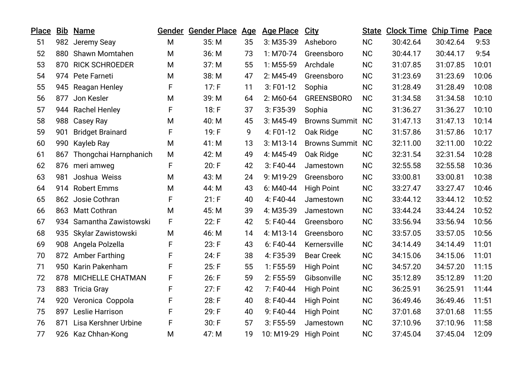| <b>Place</b> | Bib | <b>Name</b>              |             | Gender Gender Place Age |    | <b>Age Place</b> | City                    | <b>State</b> | <b>Clock Time Chip Time</b> |          | Pace  |
|--------------|-----|--------------------------|-------------|-------------------------|----|------------------|-------------------------|--------------|-----------------------------|----------|-------|
| 51           |     | 982 Jeremy Seay          | M           | 35: M                   | 35 | 3: M35-39        | Asheboro                | <b>NC</b>    | 30:42.64                    | 30:42.64 | 9:53  |
| 52           | 880 | <b>Shawn Momtahen</b>    | M           | 36: M                   | 73 | $1: M70-74$      | Greensboro              | <b>NC</b>    | 30:44.17                    | 30:44.17 | 9:54  |
| 53           |     | 870 RICK SCHROEDER       | M           | 37: M                   | 55 | 1: M55-59        | Archdale                | <b>NC</b>    | 31:07.85                    | 31:07.85 | 10:01 |
| 54           |     | 974 Pete Farneti         | M           | 38: M                   | 47 | 2: M45-49        | Greensboro              | <b>NC</b>    | 31:23.69                    | 31:23.69 | 10:06 |
| 55           |     | 945 Reagan Henley        | F           | 17: F                   | 11 | $3:$ F01-12      | Sophia                  | <b>NC</b>    | 31:28.49                    | 31:28.49 | 10:08 |
| 56           | 877 | Jon Kesler               | M           | 39: M                   | 64 | $2: M60-64$      | <b>GREENSBORO</b>       | <b>NC</b>    | 31:34.58                    | 31:34.58 | 10:10 |
| 57           |     | 944 Rachel Henley        | F           | 18: F                   | 37 | 3: F35-39        | Sophia                  | <b>NC</b>    | 31:36.27                    | 31:36.27 | 10:10 |
| 58           |     | 988 Casey Ray            | M           | 40: M                   | 45 | $3: M45-49$      | <b>Browns Summit</b>    | <b>NC</b>    | 31:47.13                    | 31:47.13 | 10:14 |
| 59           | 901 | <b>Bridget Brainard</b>  | F           | 19: F                   | 9  | 4: F01-12        | Oak Ridge               | <b>NC</b>    | 31:57.86                    | 31:57.86 | 10:17 |
| 60           | 990 | Kayleb Ray               | M           | 41: M                   | 13 | $3: M13-14$      | <b>Browns Summit NC</b> |              | 32:11.00                    | 32:11.00 | 10:22 |
| 61           | 867 | Thongchai Harnphanich    | M           | 42: M                   | 49 | 4: M45-49        | Oak Ridge               | <b>NC</b>    | 32:31.54                    | 32:31.54 | 10:28 |
| 62           |     | 876 meri amweg           | $\mathsf F$ | 20: F                   | 42 | $3:$ F40-44      | Jamestown               | <b>NC</b>    | 32:55.58                    | 32:55.58 | 10:36 |
| 63           | 981 | Joshua Weiss             | M           | 43: M                   | 24 | 9: M19-29        | Greensboro              | <b>NC</b>    | 33:00.81                    | 33:00.81 | 10:38 |
| 64           |     | 914 Robert Emms          | M           | 44: M                   | 43 | 6: M40-44        | <b>High Point</b>       | <b>NC</b>    | 33:27.47                    | 33:27.47 | 10:46 |
| 65           |     | 862 Josie Cothran        | $\mathsf F$ | 21: F                   | 40 | 4: F40-44        | Jamestown               | <b>NC</b>    | 33:44.12                    | 33:44.12 | 10:52 |
| 66           |     | 863 Matt Cothran         | M           | 45: M                   | 39 | 4: M35-39        | Jamestown               | <b>NC</b>    | 33:44.24                    | 33:44.24 | 10:52 |
| 67           |     | 934 Samantha Zawistowski | F           | 22: F                   | 42 | 5: F40-44        | Greensboro              | <b>NC</b>    | 33:56.94                    | 33:56.94 | 10:56 |
| 68           |     | 935 Skylar Zawistowski   | M           | 46: M                   | 14 | 4: M13-14        | Greensboro              | <b>NC</b>    | 33:57.05                    | 33:57.05 | 10:56 |
| 69           | 908 | Angela Polzella          | F           | 23: F                   | 43 | $6:$ F40-44      | Kernersville            | <b>NC</b>    | 34:14.49                    | 34:14.49 | 11:01 |
| 70           |     | 872 Amber Farthing       | F           | 24: F                   | 38 | 4: F35-39        | <b>Bear Creek</b>       | <b>NC</b>    | 34:15.06                    | 34:15.06 | 11:01 |
| 71           |     | 950 Karin Pakenham       | F           | 25: F                   | 55 | $1:$ F55-59      | <b>High Point</b>       | <b>NC</b>    | 34:57.20                    | 34:57.20 | 11:15 |
| 72           | 878 | MICHELLE CHATMAN         | F           | 26: F                   | 59 | 2: F55-59        | Gibsonville             | <b>NC</b>    | 35:12.89                    | 35:12.89 | 11:20 |
| 73           |     | 883 Tricia Gray          | F           | 27: F                   | 42 | 7: F40-44        | <b>High Point</b>       | <b>NC</b>    | 36:25.91                    | 36:25.91 | 11:44 |
| 74           |     | 920 Veronica Coppola     | F           | 28: F                   | 40 | 8: F40-44        | <b>High Point</b>       | <b>NC</b>    | 36:49.46                    | 36:49.46 | 11:51 |
| 75           |     | 897 Leslie Harrison      | F           | 29: F                   | 40 | 9: F40-44        | <b>High Point</b>       | <b>NC</b>    | 37:01.68                    | 37:01.68 | 11:55 |
| 76           |     | 871 Lisa Kershner Urbine | F           | 30: F                   | 57 | $3:$ F55-59      | Jamestown               | <b>NC</b>    | 37:10.96                    | 37:10.96 | 11:58 |
| 77           |     | 926 Kaz Chhan-Kong       | M           | 47: M                   | 19 | 10: M19-29       | <b>High Point</b>       | <b>NC</b>    | 37:45.04                    | 37:45.04 | 12:09 |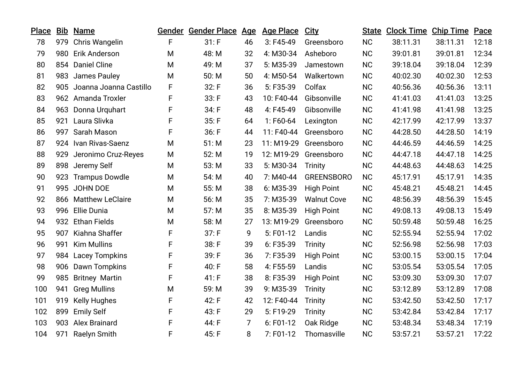| Bib |                     |                                                                                                                                                                                                                                                                                                                                                                                                                                                                |       |                | <b>Age Place</b>                  | <b>City</b>        | <b>State</b> |          |          | Pace                        |
|-----|---------------------|----------------------------------------------------------------------------------------------------------------------------------------------------------------------------------------------------------------------------------------------------------------------------------------------------------------------------------------------------------------------------------------------------------------------------------------------------------------|-------|----------------|-----------------------------------|--------------------|--------------|----------|----------|-----------------------------|
| 979 |                     | F                                                                                                                                                                                                                                                                                                                                                                                                                                                              | 31: F | 46             | $3:$ F45-49                       | Greensboro         | <b>NC</b>    | 38:11.31 | 38:11.31 | 12:18                       |
|     |                     | M                                                                                                                                                                                                                                                                                                                                                                                                                                                              | 48: M | 32             | 4: M30-34                         | Asheboro           | <b>NC</b>    | 39:01.81 | 39:01.81 | 12:34                       |
|     |                     | M                                                                                                                                                                                                                                                                                                                                                                                                                                                              | 49: M | 37             | 5: M35-39                         | Jamestown          | <b>NC</b>    | 39:18.04 | 39:18.04 | 12:39                       |
|     |                     | M                                                                                                                                                                                                                                                                                                                                                                                                                                                              | 50: M | 50             | 4: M50-54                         | Walkertown         | <b>NC</b>    | 40:02.30 | 40:02.30 | 12:53                       |
|     |                     | F                                                                                                                                                                                                                                                                                                                                                                                                                                                              | 32: F | 36             | 5: F35-39                         | Colfax             | <b>NC</b>    | 40:56.36 | 40:56.36 | 13:11                       |
|     |                     | F                                                                                                                                                                                                                                                                                                                                                                                                                                                              | 33: F | 43             | 10: F40-44                        | Gibsonville        | <b>NC</b>    | 41:41.03 | 41:41.03 | 13:25                       |
|     |                     | F                                                                                                                                                                                                                                                                                                                                                                                                                                                              | 34: F | 48             | 4: F45-49                         | Gibsonville        | <b>NC</b>    | 41:41.98 | 41:41.98 | 13:25                       |
| 921 | Laura Slivka        | F                                                                                                                                                                                                                                                                                                                                                                                                                                                              | 35: F | 64             | 1:F60-64                          | Lexington          | <b>NC</b>    | 42:17.99 | 42:17.99 | 13:37                       |
|     |                     | F                                                                                                                                                                                                                                                                                                                                                                                                                                                              | 36: F | 44             | 11: F40-44                        | Greensboro         | <b>NC</b>    | 44:28.50 | 44:28.50 | 14:19                       |
|     |                     | M                                                                                                                                                                                                                                                                                                                                                                                                                                                              | 51: M | 23             | 11: M19-29                        | Greensboro         | <b>NC</b>    | 44:46.59 | 44:46.59 | 14:25                       |
|     |                     | M                                                                                                                                                                                                                                                                                                                                                                                                                                                              | 52: M | 19             | 12: M19-29                        | Greensboro         | <b>NC</b>    | 44:47.18 | 44:47.18 | 14:25                       |
|     |                     | M                                                                                                                                                                                                                                                                                                                                                                                                                                                              | 53: M | 33             | 5: M30-34                         | <b>Trinity</b>     | <b>NC</b>    | 44:48.63 | 44:48.63 | 14:25                       |
|     |                     | M                                                                                                                                                                                                                                                                                                                                                                                                                                                              | 54: M | 40             | 7: M40-44                         | <b>GREENSBORO</b>  | <b>NC</b>    | 45:17.91 | 45:17.91 | 14:35                       |
|     |                     | M                                                                                                                                                                                                                                                                                                                                                                                                                                                              | 55: M | 38             | 6: M35-39                         | <b>High Point</b>  | <b>NC</b>    | 45:48.21 | 45:48.21 | 14:45                       |
|     |                     | M                                                                                                                                                                                                                                                                                                                                                                                                                                                              | 56: M | 35             | 7: M35-39                         | <b>Walnut Cove</b> | <b>NC</b>    | 48:56.39 | 48:56.39 | 15:45                       |
|     |                     | M                                                                                                                                                                                                                                                                                                                                                                                                                                                              | 57: M | 35             | 8: M35-39                         | <b>High Point</b>  | <b>NC</b>    | 49:08.13 | 49:08.13 | 15:49                       |
|     |                     | M                                                                                                                                                                                                                                                                                                                                                                                                                                                              | 58: M | 27             | 13: M19-29                        | Greensboro         | <b>NC</b>    | 50:59.48 | 50:59.48 | 16:25                       |
| 907 | Kiahna Shaffer      | F                                                                                                                                                                                                                                                                                                                                                                                                                                                              | 37: F | 9              | $5: F01-12$                       | Landis             | <b>NC</b>    | 52:55.94 | 52:55.94 | 17:02                       |
| 991 | <b>Kim Mullins</b>  | F                                                                                                                                                                                                                                                                                                                                                                                                                                                              | 38: F | 39             | 6: F35-39                         | <b>Trinity</b>     | <b>NC</b>    | 52:56.98 | 52:56.98 | 17:03                       |
|     |                     | F                                                                                                                                                                                                                                                                                                                                                                                                                                                              | 39: F | 36             | 7: F35-39                         | <b>High Point</b>  | <b>NC</b>    | 53:00.15 | 53:00.15 | 17:04                       |
|     |                     | F                                                                                                                                                                                                                                                                                                                                                                                                                                                              | 40: F | 58             | 4: F55-59                         | Landis             | <b>NC</b>    | 53:05.54 | 53:05.54 | 17:05                       |
|     |                     | F                                                                                                                                                                                                                                                                                                                                                                                                                                                              | 41: F | 38             | 8: F35-39                         | <b>High Point</b>  | <b>NC</b>    | 53:09.30 | 53:09.30 | 17:07                       |
| 941 | <b>Greg Mullins</b> | M                                                                                                                                                                                                                                                                                                                                                                                                                                                              | 59: M | 39             | 9: M35-39                         | <b>Trinity</b>     | <b>NC</b>    | 53:12.89 | 53:12.89 | 17:08                       |
| 919 | <b>Kelly Hughes</b> | F                                                                                                                                                                                                                                                                                                                                                                                                                                                              | 42: F | 42             | 12: F40-44                        | <b>Trinity</b>     | <b>NC</b>    | 53:42.50 | 53:42.50 | 17:17                       |
| 899 | <b>Emily Self</b>   | F                                                                                                                                                                                                                                                                                                                                                                                                                                                              | 43: F | 29             | 5: F19-29                         | <b>Trinity</b>     | <b>NC</b>    | 53:42.84 | 53:42.84 | 17:17                       |
| 903 |                     | F                                                                                                                                                                                                                                                                                                                                                                                                                                                              | 44: F | $\overline{7}$ | 6: F01-12                         | Oak Ridge          | <b>NC</b>    | 53:48.34 | 53:48.34 | 17:19                       |
| 971 | <b>Raelyn Smith</b> | F                                                                                                                                                                                                                                                                                                                                                                                                                                                              | 45: F | 8              | $7: F01-12$                       | Thomasville        | <b>NC</b>    | 53:57.21 | 53:57.21 | 17:22                       |
|     |                     | <b>Name</b><br>Chris Wangelin<br>980<br>Erik Anderson<br>854 Daniel Cline<br>983 James Pauley<br>905 Joanna Joanna Castillo<br>962 Amanda Troxler<br>963 Donna Urquhart<br>997 Sarah Mason<br>924 Ivan Rivas-Saenz<br>929 Jeronimo Cruz-Reyes<br>898 Jeremy Self<br>923 Trampus Dowdle<br>995 JOHN DOE<br>866 Matthew LeClaire<br>996 Ellie Dunia<br>932 Ethan Fields<br>984 Lacey Tompkins<br>906 Dawn Tompkins<br>985 Britney Martin<br><b>Alex Brainard</b> |       |                | Gender Gender Place<br><u>Age</u> |                    |              |          |          | <b>Clock Time Chip Time</b> |